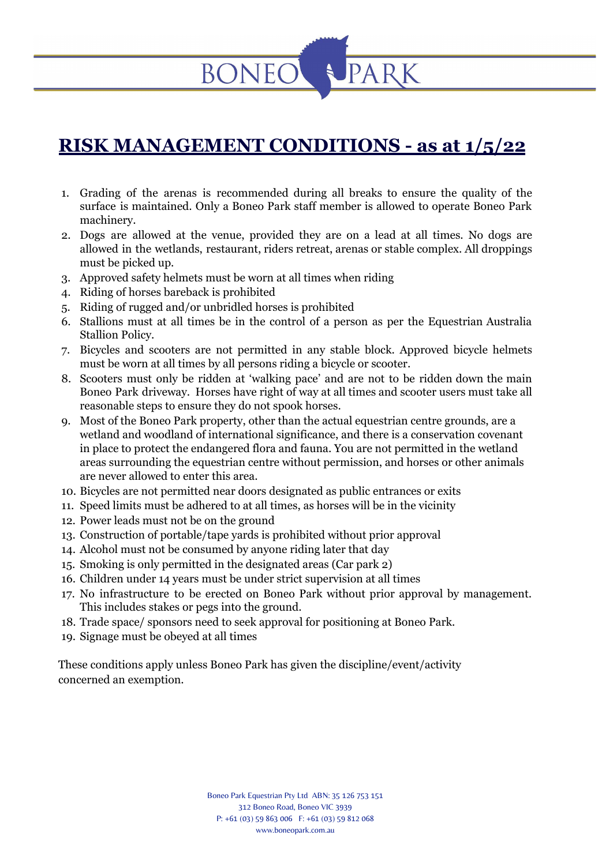### **RISK MANAGEMENT CONDITIONS - as at 1/5/22**

- 1. Grading of the arenas is recommended during all breaks to ensure the quality of the surface is maintained. Only a Boneo Park staff member is allowed to operate Boneo Park machinery.
- 2. Dogs are allowed at the venue, provided they are on a lead at all times. No dogs are allowed in the wetlands, restaurant, riders retreat, arenas or stable complex. All droppings must be picked up.
- 3. Approved safety helmets must be worn at all times when riding

**BONEC** 

- 4. Riding of horses bareback is prohibited
- 5. Riding of rugged and/or unbridled horses is prohibited
- 6. Stallions must at all times be in the control of a person as per the Equestrian Australia Stallion Policy.
- 7. Bicycles and scooters are not permitted in any stable block. Approved bicycle helmets must be worn at all times by all persons riding a bicycle or scooter.
- 8. Scooters must only be ridden at 'walking pace' and are not to be ridden down the main Boneo Park driveway. Horses have right of way at all times and scooter users must take all reasonable steps to ensure they do not spook horses.
- 9. Most of the Boneo Park property, other than the actual equestrian centre grounds, are a wetland and woodland of international significance, and there is a conservation covenant in place to protect the endangered flora and fauna. You are not permitted in the wetland areas surrounding the equestrian centre without permission, and horses or other animals are never allowed to enter this area.
- 10. Bicycles are not permitted near doors designated as public entrances or exits
- 11. Speed limits must be adhered to at all times, as horses will be in the vicinity
- 12. Power leads must not be on the ground
- 13. Construction of portable/tape yards is prohibited without prior approval
- 14. Alcohol must not be consumed by anyone riding later that day
- 15. Smoking is only permitted in the designated areas (Car park 2)
- 16. Children under 14 years must be under strict supervision at all times
- 17. No infrastructure to be erected on Boneo Park without prior approval by management. This includes stakes or pegs into the ground.
- 18. Trade space/ sponsors need to seek approval for positioning at Boneo Park.
- 19. Signage must be obeyed at all times

These conditions apply unless Boneo Park has given the discipline/event/activity concerned an exemption.

> Boneo Park Equestrian Pty Ltd ABN: 35 126 753 151 312 Boneo Road, Boneo VIC 3939 P: +61 (03) 59 863 006 F: +61 (03) 59 812 068 www.boneopark.com.au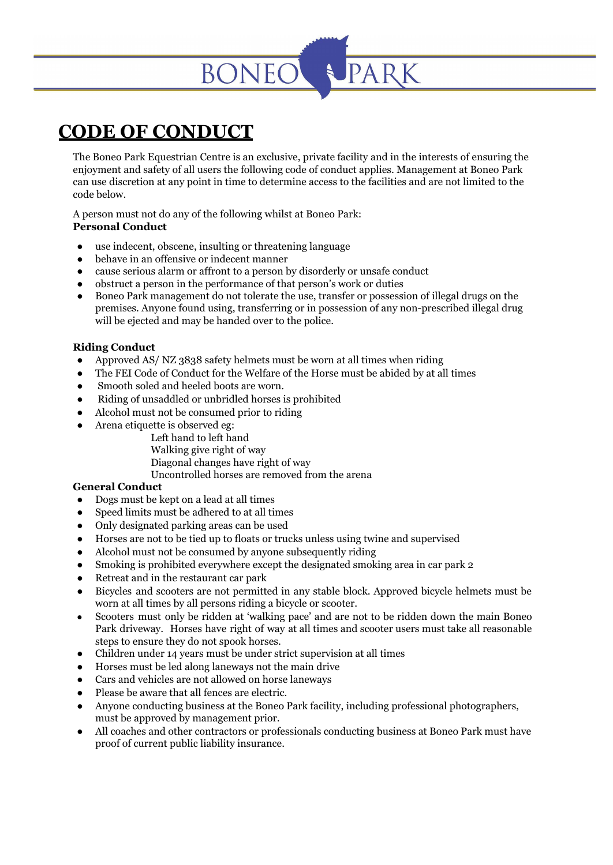# **BONEO**

## **CODE OF CONDUCT**

The Boneo Park Equestrian Centre is an exclusive, private facility and in the interests of ensuring the enjoyment and safety of all users the following code of conduct applies. Management at Boneo Park can use discretion at any point in time to determine access to the facilities and are not limited to the code below.

A person must not do any of the following whilst at Boneo Park: **Personal Conduct**

- use indecent, obscene, insulting or threatening language
- behave in an offensive or indecent manner
- cause serious alarm or affront to a person by disorderly or unsafe conduct
- obstruct a person in the performance of that person's work or duties
- Boneo Park management do not tolerate the use, transfer or possession of illegal drugs on the premises. Anyone found using, transferring or in possession of any non-prescribed illegal drug will be ejected and may be handed over to the police.

#### **Riding Conduct**

- Approved AS/ NZ 3838 safety helmets must be worn at all times when riding
- The FEI Code of Conduct for the Welfare of the Horse must be abided by at all times
- Smooth soled and heeled boots are worn.
- Riding of unsaddled or unbridled horses is prohibited
- Alcohol must not be consumed prior to riding
- Arena etiquette is observed eg:
	- Left hand to left hand
		- Walking give right of way
		- Diagonal changes have right of way
		- Uncontrolled horses are removed from the arena

#### **General Conduct**

- Dogs must be kept on a lead at all times
- Speed limits must be adhered to at all times
- Only designated parking areas can be used
- Horses are not to be tied up to floats or trucks unless using twine and supervised
- Alcohol must not be consumed by anyone subsequently riding
- Smoking is prohibited everywhere except the designated smoking area in car park 2
- Retreat and in the restaurant car park
- Bicycles and scooters are not permitted in any stable block. Approved bicycle helmets must be worn at all times by all persons riding a bicycle or scooter.
- Scooters must only be ridden at 'walking pace' and are not to be ridden down the main Boneo Park driveway. Horses have right of way at all times and scooter users must take all reasonable steps to ensure they do not spook horses.
- Children under 14 years must be under strict supervision at all times
- Horses must be led along laneways not the main drive
- Cars and vehicles are not allowed on horse laneways
- Please be aware that all fences are electric.
- Anyone conducting business at the Boneo Park facility, including professional photographers, must be approved by management prior.
- All coaches and other contractors or professionals conducting business at Boneo Park must have proof of current public liability insurance.